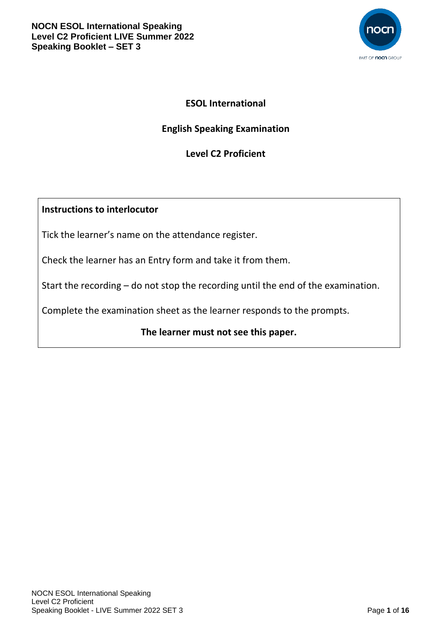

## **ESOL International**

## **English Speaking Examination**

## **Level C2 Proficient**

## **Instructions to interlocutor**

Tick the learner's name on the attendance register.

Check the learner has an Entry form and take it from them.

Start the recording – do not stop the recording until the end of the examination.

Complete the examination sheet as the learner responds to the prompts.

**The learner must not see this paper.**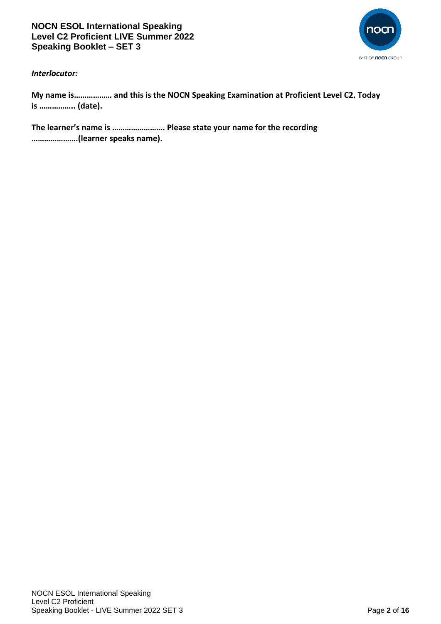#### **NOCN ESOL International Speaking Level C2 Proficient LIVE Summer 2022 Speaking Booklet – SET 3**



#### *Interlocutor:*

**My name is……………… and this is the NOCN Speaking Examination at Proficient Level C2. Today is …………….. (date).**

**The learner's name is ……………………. Please state your name for the recording ………………….(learner speaks name).**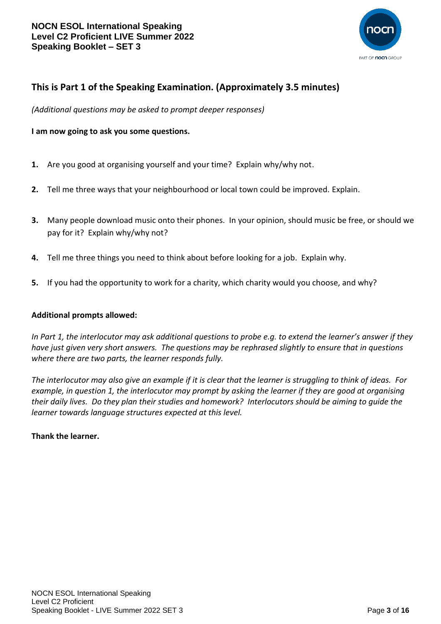

## **This is Part 1 of the Speaking Examination. (Approximately 3.5 minutes)**

*(Additional questions may be asked to prompt deeper responses)*

#### **I am now going to ask you some questions.**

- **1.** Are you good at organising yourself and your time? Explain why/why not.
- **2.** Tell me three ways that your neighbourhood or local town could be improved. Explain.
- **3.** Many people download music onto their phones. In your opinion, should music be free, or should we pay for it? Explain why/why not?
- **4.** Tell me three things you need to think about before looking for a job. Explain why.
- **5.** If you had the opportunity to work for a charity, which charity would you choose, and why?

#### **Additional prompts allowed:**

*In Part 1, the interlocutor may ask additional questions to probe e.g. to extend the learner's answer if they have just given very short answers. The questions may be rephrased slightly to ensure that in questions where there are two parts, the learner responds fully.* 

*The interlocutor may also give an example if it is clear that the learner is struggling to think of ideas. For example, in question 1, the interlocutor may prompt by asking the learner if they are good at organising their daily lives. Do they plan their studies and homework? Interlocutors should be aiming to guide the learner towards language structures expected at this level.*

#### **Thank the learner.**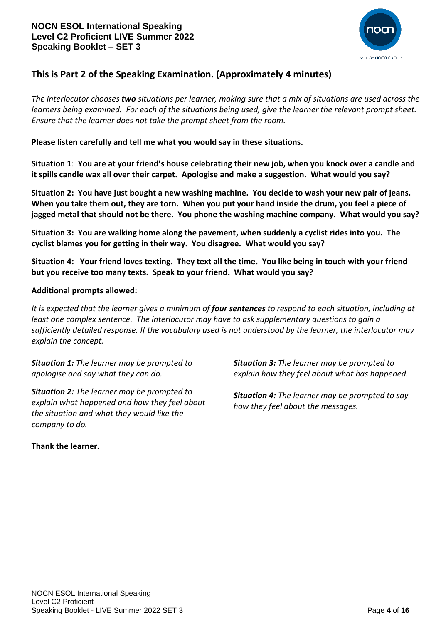

# **This is Part 2 of the Speaking Examination. (Approximately 4 minutes)**

*The interlocutor chooses two situations per learner, making sure that a mix of situations are used across the learners being examined. For each of the situations being used, give the learner the relevant prompt sheet. Ensure that the learner does not take the prompt sheet from the room.*

**Please listen carefully and tell me what you would say in these situations.**

**Situation 1**: **You are at your friend's house celebrating their new job, when you knock over a candle and it spills candle wax all over their carpet. Apologise and make a suggestion. What would you say?**

**Situation 2: You have just bought a new washing machine. You decide to wash your new pair of jeans. When you take them out, they are torn. When you put your hand inside the drum, you feel a piece of jagged metal that should not be there. You phone the washing machine company. What would you say?**

**Situation 3: You are walking home along the pavement, when suddenly a cyclist rides into you. The cyclist blames you for getting in their way. You disagree. What would you say?**

**Situation 4: Your friend loves texting. They text all the time. You like being in touch with your friend but you receive too many texts. Speak to your friend. What would you say?**

#### **Additional prompts allowed:**

*It is expected that the learner gives a minimum of four sentences to respond to each situation, including at least one complex sentence. The interlocutor may have to ask supplementary questions to gain a sufficiently detailed response. If the vocabulary used is not understood by the learner, the interlocutor may explain the concept.*

*Situation 1: The learner may be prompted to apologise and say what they can do.*

*Situation 2: The learner may be prompted to explain what happened and how they feel about the situation and what they would like the company to do.*

*Situation 3: The learner may be prompted to explain how they feel about what has happened.* 

*Situation 4: The learner may be prompted to say how they feel about the messages.*

#### **Thank the learner.**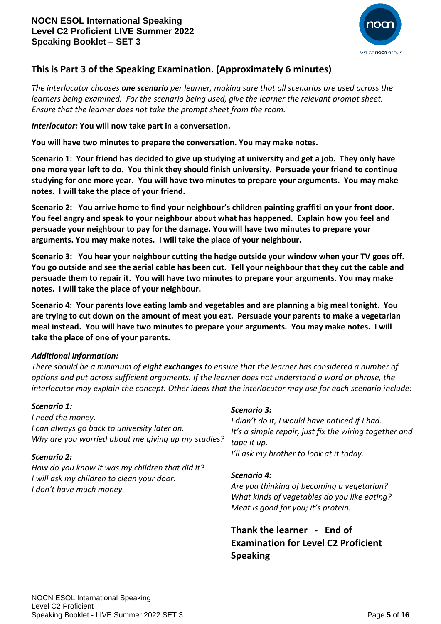

## **This is Part 3 of the Speaking Examination. (Approximately 6 minutes)**

*The interlocutor chooses one scenario per learner, making sure that all scenarios are used across the learners being examined. For the scenario being used, give the learner the relevant prompt sheet. Ensure that the learner does not take the prompt sheet from the room.*

#### *Interlocutor:* **You will now take part in a conversation.**

**You will have two minutes to prepare the conversation. You may make notes.**

**Scenario 1: Your friend has decided to give up studying at university and get a job. They only have one more year left to do. You think they should finish university. Persuade your friend to continue studying for one more year. You will have two minutes to prepare your arguments. You may make notes. I will take the place of your friend.**

**Scenario 2: You arrive home to find your neighbour's children painting graffiti on your front door. You feel angry and speak to your neighbour about what has happened. Explain how you feel and persuade your neighbour to pay for the damage. You will have two minutes to prepare your arguments. You may make notes. I will take the place of your neighbour.**

**Scenario 3: You hear your neighbour cutting the hedge outside your window when your TV goes off. You go outside and see the aerial cable has been cut. Tell your neighbour that they cut the cable and persuade them to repair it. You will have two minutes to prepare your arguments. You may make notes. I will take the place of your neighbour.**

**Scenario 4: Your parents love eating lamb and vegetables and are planning a big meal tonight. You are trying to cut down on the amount of meat you eat. Persuade your parents to make a vegetarian meal instead. You will have two minutes to prepare your arguments. You may make notes. I will take the place of one of your parents.**

#### *Additional information:*

*There should be a minimum of eight exchanges to ensure that the learner has considered a number of options and put across sufficient arguments. If the learner does not understand a word or phrase, the interlocutor may explain the concept. Other ideas that the interlocutor may use for each scenario include:*

#### *Scenario 1:*

*I need the money. I can always go back to university later on. Why are you worried about me giving up my studies?*

#### *Scenario 2:*

*How do you know it was my children that did it? I will ask my children to clean your door. I don't have much money.*

#### *Scenario 3:*

*I didn't do it, I would have noticed if I had. It's a simple repair, just fix the wiring together and tape it up. I'll ask my brother to look at it today.*

#### *Scenario 4:*

*Are you thinking of becoming a vegetarian? What kinds of vegetables do you like eating? Meat is good for you; it's protein.*

## **Thank the learner - End of Examination for Level C2 Proficient Speaking**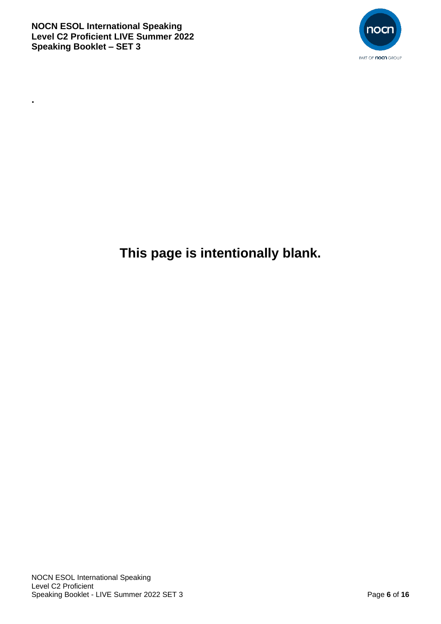**.** 



# **This page is intentionally blank.**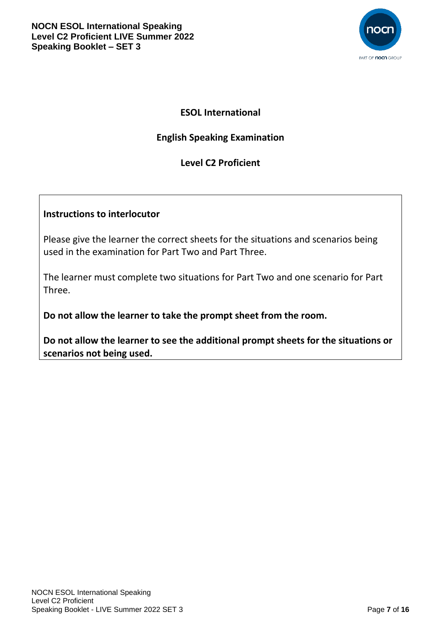

## **ESOL International**

# **English Speaking Examination**

## **Level C2 Proficient**

## **Instructions to interlocutor**

Please give the learner the correct sheets for the situations and scenarios being used in the examination for Part Two and Part Three.

The learner must complete two situations for Part Two and one scenario for Part Three.

**Do not allow the learner to take the prompt sheet from the room.**

**Do not allow the learner to see the additional prompt sheets for the situations or scenarios not being used.**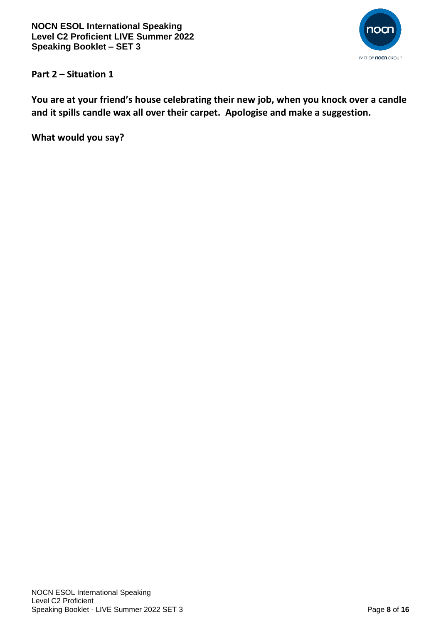

**You are at your friend's house celebrating their new job, when you knock over a candle and it spills candle wax all over their carpet. Apologise and make a suggestion.**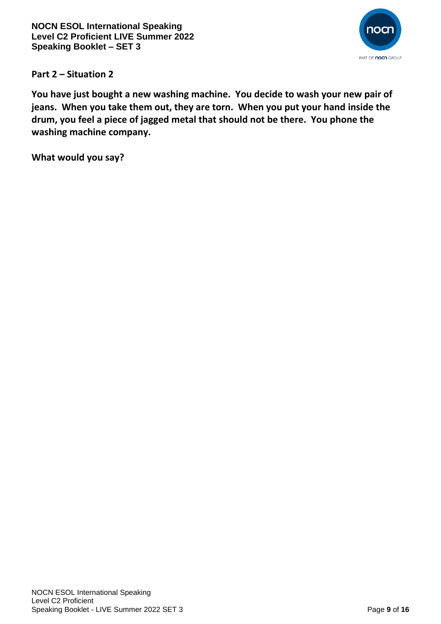

**You have just bought a new washing machine. You decide to wash your new pair of jeans. When you take them out, they are torn. When you put your hand inside the drum, you feel a piece of jagged metal that should not be there. You phone the washing machine company.**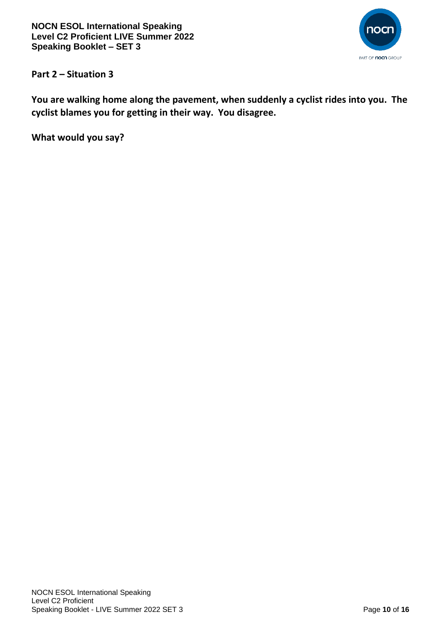

**You are walking home along the pavement, when suddenly a cyclist rides into you. The cyclist blames you for getting in their way. You disagree.**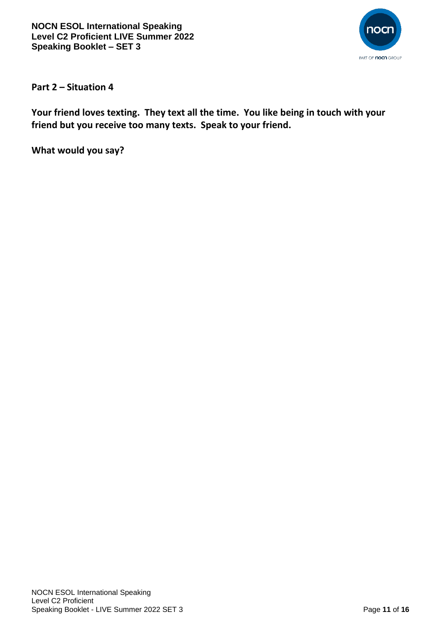

**Your friend loves texting. They text all the time. You like being in touch with your friend but you receive too many texts. Speak to your friend.**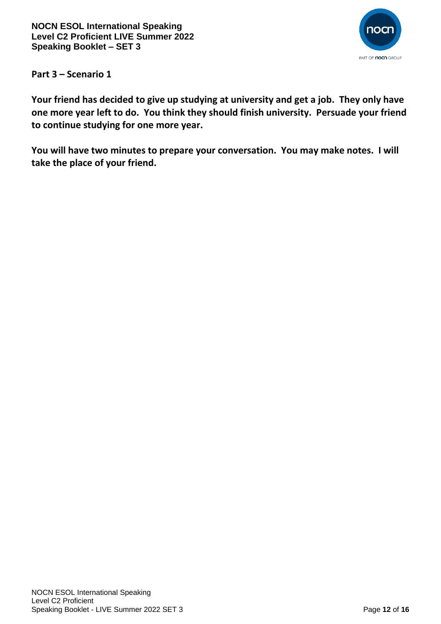

**Your friend has decided to give up studying at university and get a job. They only have one more year left to do. You think they should finish university. Persuade your friend to continue studying for one more year.** 

**You will have two minutes to prepare your conversation. You may make notes. I will take the place of your friend.**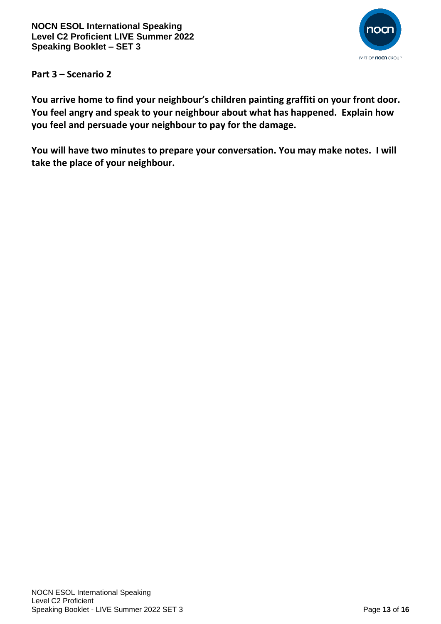

**You arrive home to find your neighbour's children painting graffiti on your front door. You feel angry and speak to your neighbour about what has happened. Explain how you feel and persuade your neighbour to pay for the damage.** 

**You will have two minutes to prepare your conversation. You may make notes. I will take the place of your neighbour.**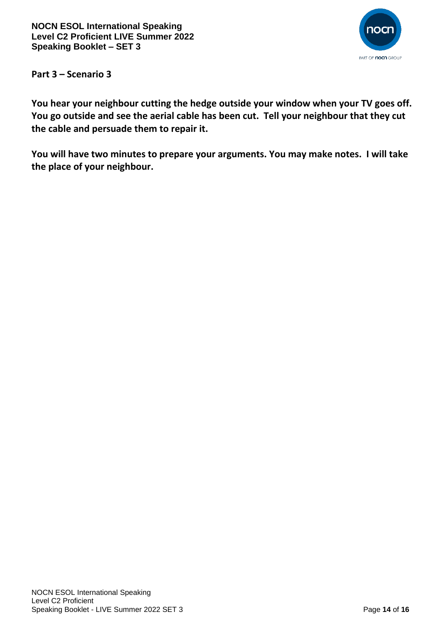

**You hear your neighbour cutting the hedge outside your window when your TV goes off. You go outside and see the aerial cable has been cut. Tell your neighbour that they cut the cable and persuade them to repair it.** 

**You will have two minutes to prepare your arguments. You may make notes. I will take the place of your neighbour.**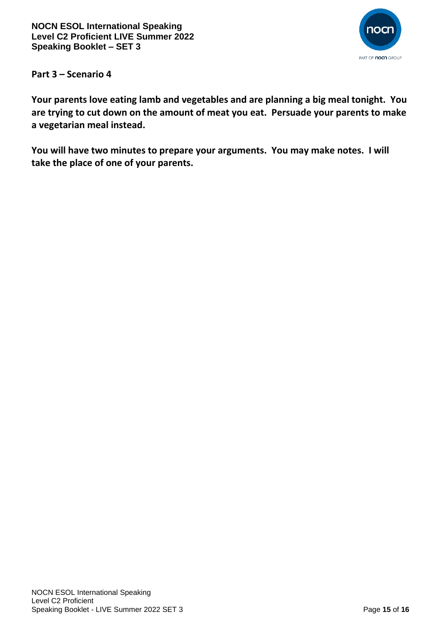

**Your parents love eating lamb and vegetables and are planning a big meal tonight. You are trying to cut down on the amount of meat you eat. Persuade your parents to make a vegetarian meal instead.** 

**You will have two minutes to prepare your arguments. You may make notes. I will take the place of one of your parents.**